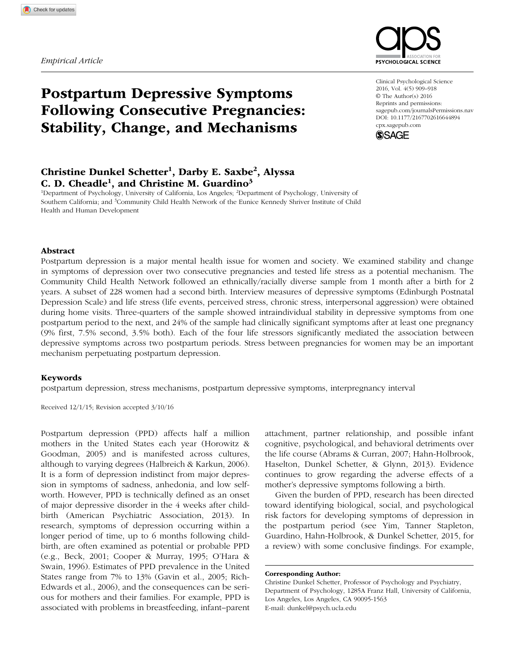*Empirical Article*



# Postpartum Depressive Symptoms Following Consecutive Pregnancies: Stability, Change, and Mechanisms

## Christine Dunkel Schetter<sup>1</sup>, Darby E. Saxbe<sup>2</sup>, Alyssa C. D. Cheadle<sup>1</sup>, and Christine M. Guardino<sup>3</sup>

<sup>1</sup>Department of Psychology, University of California, Los Angeles; <sup>2</sup>Department of Psychology, University of Southern California; and <sup>3</sup>Community Child Health Network of the Eunice Kennedy Shriver Institute of Child Health and Human Development

Abstract

Postpartum depression is a major mental health issue for women and society. We examined stability and change in symptoms of depression over two consecutive pregnancies and tested life stress as a potential mechanism. The Community Child Health Network followed an ethnically/racially diverse sample from 1 month after a birth for 2 years. A subset of 228 women had a second birth. Interview measures of depressive symptoms (Edinburgh Postnatal Depression Scale) and life stress (life events, perceived stress, chronic stress, interpersonal aggression) were obtained during home visits. Three-quarters of the sample showed intraindividual stability in depressive symptoms from one postpartum period to the next, and 24% of the sample had clinically significant symptoms after at least one pregnancy (9% first, 7.5% second, 3.5% both). Each of the four life stressors significantly mediated the association between depressive symptoms across two postpartum periods. Stress between pregnancies for women may be an important mechanism perpetuating postpartum depression.

#### Keywords

postpartum depression, stress mechanisms, postpartum depressive symptoms, interpregnancy interval

Received 12/1/15; Revision accepted 3/10/16

Postpartum depression (PPD) affects half a million mothers in the United States each year (Horowitz & Goodman, 2005) and is manifested across cultures, although to varying degrees (Halbreich & Karkun, 2006). It is a form of depression indistinct from major depression in symptoms of sadness, anhedonia, and low selfworth. However, PPD is technically defined as an onset of major depressive disorder in the 4 weeks after childbirth (American Psychiatric Association, 2013). In research, symptoms of depression occurring within a longer period of time, up to 6 months following childbirth, are often examined as potential or probable PPD (e.g., Beck, 2001; Cooper & Murray, 1995; O'Hara & Swain, 1996). Estimates of PPD prevalence in the United States range from 7% to 13% (Gavin et al., 2005; Rich-Edwards et al., 2006), and the consequences can be serious for mothers and their families. For example, PPD is associated with problems in breastfeeding, infant–parent attachment, partner relationship, and possible infant cognitive, psychological, and behavioral detriments over the life course (Abrams & Curran, 2007; Hahn-Holbrook, Haselton, Dunkel Schetter, & Glynn, 2013). Evidence continues to grow regarding the adverse effects of a mother's depressive symptoms following a birth.

Given the burden of PPD, research has been directed toward identifying biological, social, and psychological risk factors for developing symptoms of depression in the postpartum period (see Yim, Tanner Stapleton, Guardino, Hahn-Holbrook, & Dunkel Schetter, 2015, for a review) with some conclusive findings. For example,

Corresponding Author:

Christine Dunkel Schetter, Professor of Psychology and Psychiatry, Department of Psychology, 1285A Franz Hall, University of California, Los Angeles, Los Angeles, CA 90095-1563 E-mail: [dunkel@psych.ucla.edu](mailto:dunkel@psych.ucla.edu)

Clinical Psychological Science 2016, Vol. 4(5) 909–918 © The Author(s) 2016 Reprints and permissions: sagepub.com/journalsPermissions.nav DOI: 10.1177/2167702616644894 cpx.sagepub.com

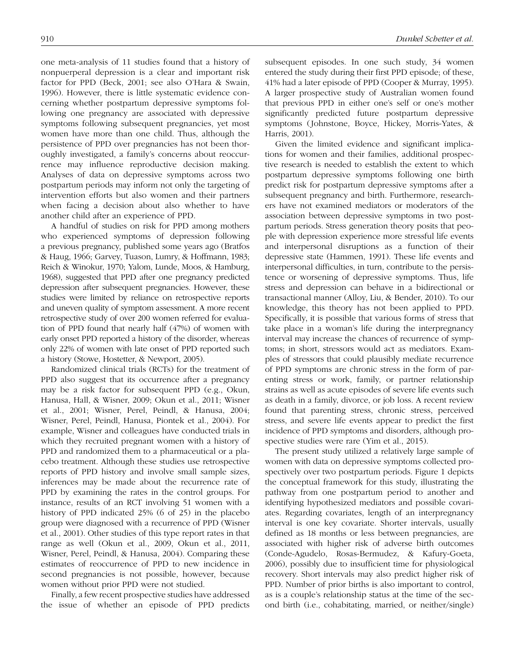one meta-analysis of 11 studies found that a history of nonpuerperal depression is a clear and important risk factor for PPD (Beck, 2001; see also O'Hara & Swain, 1996). However, there is little systematic evidence concerning whether postpartum depressive symptoms following one pregnancy are associated with depressive symptoms following subsequent pregnancies, yet most women have more than one child. Thus, although the persistence of PPD over pregnancies has not been thoroughly investigated, a family's concerns about reoccurrence may influence reproductive decision making. Analyses of data on depressive symptoms across two postpartum periods may inform not only the targeting of intervention efforts but also women and their partners when facing a decision about also whether to have another child after an experience of PPD.

A handful of studies on risk for PPD among mothers who experienced symptoms of depression following a previous pregnancy, published some years ago (Bratfos & Haug, 1966; Garvey, Tuason, Lumry, & Hoffmann, 1983; Reich & Winokur, 1970; Yalom, Lunde, Moos, & Hamburg, 1968), suggested that PPD after one pregnancy predicted depression after subsequent pregnancies. However, these studies were limited by reliance on retrospective reports and uneven quality of symptom assessment. A more recent retrospective study of over 200 women referred for evaluation of PPD found that nearly half (47%) of women with early onset PPD reported a history of the disorder, whereas only 22% of women with late onset of PPD reported such a history (Stowe, Hostetter, & Newport, 2005).

Randomized clinical trials (RCTs) for the treatment of PPD also suggest that its occurrence after a pregnancy may be a risk factor for subsequent PPD (e.g., Okun, Hanusa, Hall, & Wisner, 2009; Okun et al., 2011; Wisner et al., 2001; Wisner, Perel, Peindl, & Hanusa, 2004; Wisner, Perel, Peindl, Hanusa, Piontek et al., 2004). For example, Wisner and colleagues have conducted trials in which they recruited pregnant women with a history of PPD and randomized them to a pharmaceutical or a placebo treatment. Although these studies use retrospective reports of PPD history and involve small sample sizes, inferences may be made about the recurrence rate of PPD by examining the rates in the control groups. For instance, results of an RCT involving 51 women with a history of PPD indicated 25% (6 of 25) in the placebo group were diagnosed with a recurrence of PPD (Wisner et al., 2001). Other studies of this type report rates in that range as well (Okun et al., 2009, Okun et al., 2011, Wisner, Perel, Peindl, & Hanusa, 2004). Comparing these estimates of reoccurrence of PPD to new incidence in second pregnancies is not possible, however, because women without prior PPD were not studied.

Finally, a few recent prospective studies have addressed the issue of whether an episode of PPD predicts subsequent episodes. In one such study, 34 women entered the study during their first PPD episode; of these, 41% had a later episode of PPD (Cooper & Murray, 1995). A larger prospective study of Australian women found that previous PPD in either one's self or one's mother significantly predicted future postpartum depressive symptoms (Johnstone, Boyce, Hickey, Morris-Yates, & Harris, 2001).

Given the limited evidence and significant implications for women and their families, additional prospective research is needed to establish the extent to which postpartum depressive symptoms following one birth predict risk for postpartum depressive symptoms after a subsequent pregnancy and birth. Furthermore, researchers have not examined mediators or moderators of the association between depressive symptoms in two postpartum periods. Stress generation theory posits that people with depression experience more stressful life events and interpersonal disruptions as a function of their depressive state (Hammen, 1991). These life events and interpersonal difficulties, in turn, contribute to the persistence or worsening of depressive symptoms. Thus, life stress and depression can behave in a bidirectional or transactional manner (Alloy, Liu, & Bender, 2010). To our knowledge, this theory has not been applied to PPD. Specifically, it is possible that various forms of stress that take place in a woman's life during the interpregnancy interval may increase the chances of recurrence of symptoms; in short, stressors would act as mediators. Examples of stressors that could plausibly mediate recurrence of PPD symptoms are chronic stress in the form of parenting stress or work, family, or partner relationship strains as well as acute episodes of severe life events such as death in a family, divorce, or job loss. A recent review found that parenting stress, chronic stress, perceived stress, and severe life events appear to predict the first incidence of PPD symptoms and disorders, although prospective studies were rare (Yim et al., 2015).

The present study utilized a relatively large sample of women with data on depressive symptoms collected prospectively over two postpartum periods. Figure 1 depicts the conceptual framework for this study, illustrating the pathway from one postpartum period to another and identifying hypothesized mediators and possible covariates. Regarding covariates, length of an interpregnancy interval is one key covariate. Shorter intervals, usually defined as 18 months or less between pregnancies, are associated with higher risk of adverse birth outcomes (Conde-Agudelo, Rosas-Bermudez, & Kafury-Goeta, 2006), possibly due to insufficient time for physiological recovery. Short intervals may also predict higher risk of PPD. Number of prior births is also important to control, as is a couple's relationship status at the time of the second birth (i.e., cohabitating, married, or neither/single)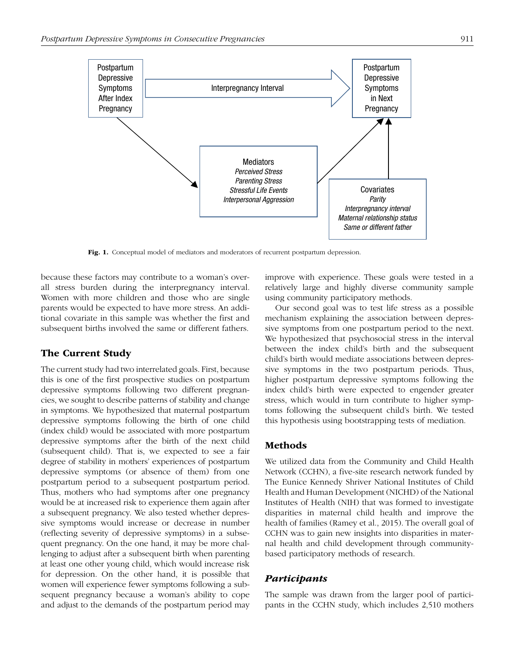

Fig. 1. Conceptual model of mediators and moderators of recurrent postpartum depression.

because these factors may contribute to a woman's overall stress burden during the interpregnancy interval. Women with more children and those who are single parents would be expected to have more stress. An additional covariate in this sample was whether the first and subsequent births involved the same or different fathers.

## The Current Study

The current study had two interrelated goals. First, because this is one of the first prospective studies on postpartum depressive symptoms following two different pregnancies, we sought to describe patterns of stability and change in symptoms. We hypothesized that maternal postpartum depressive symptoms following the birth of one child (index child) would be associated with more postpartum depressive symptoms after the birth of the next child (subsequent child). That is, we expected to see a fair degree of stability in mothers' experiences of postpartum depressive symptoms (or absence of them) from one postpartum period to a subsequent postpartum period. Thus, mothers who had symptoms after one pregnancy would be at increased risk to experience them again after a subsequent pregnancy. We also tested whether depressive symptoms would increase or decrease in number (reflecting severity of depressive symptoms) in a subsequent pregnancy. On the one hand, it may be more challenging to adjust after a subsequent birth when parenting at least one other young child, which would increase risk for depression. On the other hand, it is possible that women will experience fewer symptoms following a subsequent pregnancy because a woman's ability to cope and adjust to the demands of the postpartum period may

improve with experience. These goals were tested in a relatively large and highly diverse community sample using community participatory methods.

Our second goal was to test life stress as a possible mechanism explaining the association between depressive symptoms from one postpartum period to the next. We hypothesized that psychosocial stress in the interval between the index child's birth and the subsequent child's birth would mediate associations between depressive symptoms in the two postpartum periods. Thus, higher postpartum depressive symptoms following the index child's birth were expected to engender greater stress, which would in turn contribute to higher symptoms following the subsequent child's birth. We tested this hypothesis using bootstrapping tests of mediation.

## Methods

We utilized data from the Community and Child Health Network (CCHN), a five-site research network funded by The Eunice Kennedy Shriver National Institutes of Child Health and Human Development (NICHD) of the National Institutes of Health (NIH) that was formed to investigate disparities in maternal child health and improve the health of families (Ramey et al., 2015). The overall goal of CCHN was to gain new insights into disparities in maternal health and child development through communitybased participatory methods of research.

## *Participants*

The sample was drawn from the larger pool of participants in the CCHN study, which includes 2,510 mothers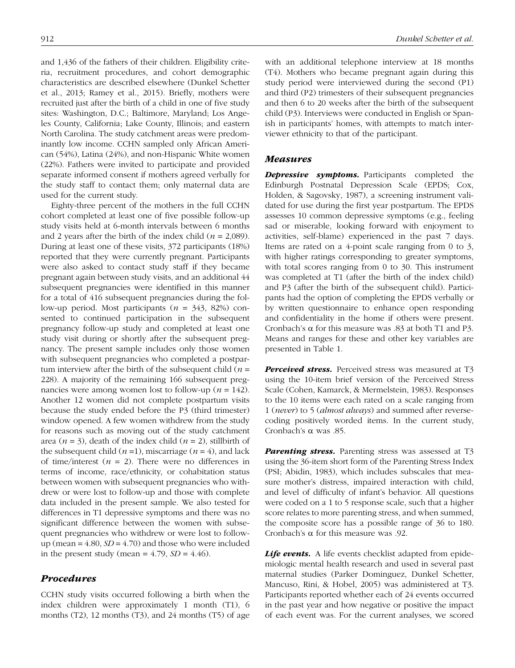and 1,436 of the fathers of their children. Eligibility criteria, recruitment procedures, and cohort demographic characteristics are described elsewhere (Dunkel Schetter et al., 2013; Ramey et al., 2015). Briefly, mothers were recruited just after the birth of a child in one of five study sites: Washington, D.C.; Baltimore, Maryland; Los Angeles County, California; Lake County, Illinois; and eastern North Carolina. The study catchment areas were predominantly low income. CCHN sampled only African American (54%), Latina (24%), and non-Hispanic White women (22%). Fathers were invited to participate and provided separate informed consent if mothers agreed verbally for the study staff to contact them; only maternal data are used for the current study.

Eighty-three percent of the mothers in the full CCHN cohort completed at least one of five possible follow-up study visits held at 6-month intervals between 6 months and 2 years after the birth of the index child (*n* = 2,089). During at least one of these visits, 372 participants (18%) reported that they were currently pregnant. Participants were also asked to contact study staff if they became pregnant again between study visits, and an additional 44 subsequent pregnancies were identified in this manner for a total of 416 subsequent pregnancies during the follow-up period. Most participants (*n* = 343, 82%) consented to continued participation in the subsequent pregnancy follow-up study and completed at least one study visit during or shortly after the subsequent pregnancy. The present sample includes only those women with subsequent pregnancies who completed a postpartum interview after the birth of the subsequent child  $(n =$ 228). A majority of the remaining 166 subsequent pregnancies were among women lost to follow-up ( $n = 142$ ). Another 12 women did not complete postpartum visits because the study ended before the P3 (third trimester) window opened. A few women withdrew from the study for reasons such as moving out of the study catchment area ( $n = 3$ ), death of the index child ( $n = 2$ ), stillbirth of the subsequent child  $(n=1)$ , miscarriage  $(n=4)$ , and lack of time/interest  $(n = 2)$ . There were no differences in terms of income, race/ethnicity, or cohabitation status between women with subsequent pregnancies who withdrew or were lost to follow-up and those with complete data included in the present sample. We also tested for differences in T1 depressive symptoms and there was no significant difference between the women with subsequent pregnancies who withdrew or were lost to followup (mean =  $4.80$ ,  $SD = 4.70$ ) and those who were included in the present study (mean  $= 4.79$ ,  $SD = 4.46$ ).

## *Procedures*

CCHN study visits occurred following a birth when the index children were approximately 1 month (T1), 6 months (T2), 12 months (T3), and 24 months (T5) of age with an additional telephone interview at 18 months (T4). Mothers who became pregnant again during this study period were interviewed during the second (P1) and third (P2) trimesters of their subsequent pregnancies and then 6 to 20 weeks after the birth of the subsequent child (P3). Interviews were conducted in English or Spanish in participants' homes, with attempts to match interviewer ethnicity to that of the participant.

#### *Measures*

**Depressive symptoms.** Participants completed the Edinburgh Postnatal Depression Scale (EPDS; Cox, Holden, & Sagovsky, 1987), a screening instrument validated for use during the first year postpartum. The EPDS assesses 10 common depressive symptoms (e.g., feeling sad or miserable, looking forward with enjoyment to activities, self-blame) experienced in the past 7 days. Items are rated on a 4-point scale ranging from 0 to 3, with higher ratings corresponding to greater symptoms, with total scores ranging from 0 to 30. This instrument was completed at T1 (after the birth of the index child) and P3 (after the birth of the subsequent child). Participants had the option of completing the EPDS verbally or by written questionnaire to enhance open responding and confidentiality in the home if others were present. Cronbach's  $\alpha$  for this measure was .83 at both T1 and P3. Means and ranges for these and other key variables are presented in Table 1.

*Perceived stress.* Perceived stress was measured at T3 using the 10-item brief version of the Perceived Stress Scale (Cohen, Kamarck, & Mermelstein, 1983). Responses to the 10 items were each rated on a scale ranging from 1 (*never*) to 5 (*almost always*) and summed after reversecoding positively worded items. In the current study, Cronbach's α was .85.

*Parenting stress.* Parenting stress was assessed at T3 using the 36-item short form of the Parenting Stress Index (PSI; Abidin, 1983), which includes subscales that measure mother's distress, impaired interaction with child, and level of difficulty of infant's behavior. All questions were coded on a 1 to 5 response scale, such that a higher score relates to more parenting stress, and when summed, the composite score has a possible range of 36 to 180. Cronbach's α for this measure was .92.

**Life events.** A life events checklist adapted from epidemiologic mental health research and used in several past maternal studies (Parker Dominguez, Dunkel Schetter, Mancuso, Rini, & Hobel, 2005) was administered at T3. Participants reported whether each of 24 events occurred in the past year and how negative or positive the impact of each event was. For the current analyses, we scored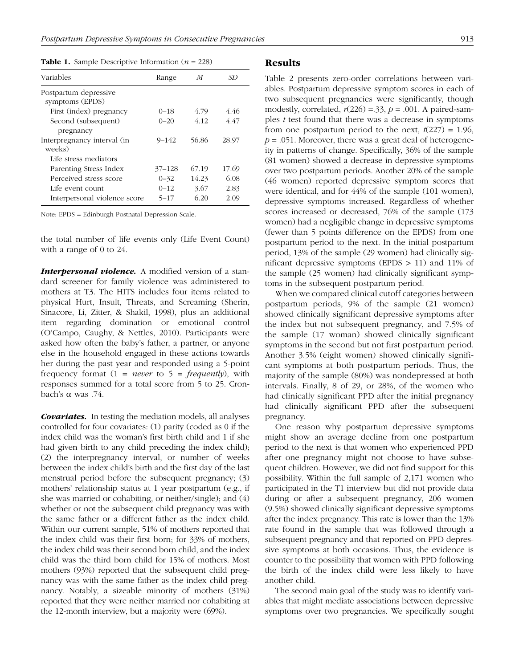**Table 1.** Sample Descriptive Information ( $n = 228$ )

| Variables                                | Range     | M     | SD    |
|------------------------------------------|-----------|-------|-------|
| Postpartum depressive<br>symptoms (EPDS) |           |       |       |
| First (index) pregnancy                  | $0 - 18$  | 4.79  | 446   |
| Second (subsequent)<br>pregnancy         | $0 - 20$  | 4 1 2 | 4.47  |
| Interpregnancy interval (in<br>weeks)    | $9 - 142$ | 56.86 | 28.97 |
| Life stress mediators                    |           |       |       |
| Parenting Stress Index                   | 37–128    | 67.19 | 17.69 |
| Perceived stress score                   | $0 - 32$  | 14.23 | 6.08  |
| Life event count                         | $0 - 12$  | 3.67  | 2.83  |
| Interpersonal violence score             | $5 - 17$  | 6.20  | 2.09  |

Note: EPDS = Edinburgh Postnatal Depression Scale.

the total number of life events only (Life Event Count) with a range of 0 to 24.

**Interpersonal violence.** A modified version of a standard screener for family violence was administered to mothers at T3. The HITS includes four items related to physical Hurt, Insult, Threats, and Screaming (Sherin, Sinacore, Li, Zitter, & Shakil, 1998), plus an additional item regarding domination or emotional control (O'Campo, Caughy, & Nettles, 2010). Participants were asked how often the baby's father, a partner, or anyone else in the household engaged in these actions towards her during the past year and responded using a 5-point frequency format (1 = *never* to 5 = *frequently*), with responses summed for a total score from 5 to 25. Cronbach's α was .74.

*Covariates.* In testing the mediation models, all analyses controlled for four covariates: (1) parity (coded as 0 if the index child was the woman's first birth child and 1 if she had given birth to any child preceding the index child); (2) the interpregnancy interval, or number of weeks between the index child's birth and the first day of the last menstrual period before the subsequent pregnancy; (3) mothers' relationship status at 1 year postpartum (e.g., if she was married or cohabiting, or neither/single); and (4) whether or not the subsequent child pregnancy was with the same father or a different father as the index child. Within our current sample, 51% of mothers reported that the index child was their first born; for 33% of mothers, the index child was their second born child, and the index child was the third born child for 15% of mothers. Most mothers (93%) reported that the subsequent child pregnancy was with the same father as the index child pregnancy. Notably, a sizeable minority of mothers (31%) reported that they were neither married nor cohabiting at the 12-month interview, but a majority were (69%).

## Results

Table 2 presents zero-order correlations between variables. Postpartum depressive symptom scores in each of two subsequent pregnancies were significantly, though modestly, correlated,  $r(226) = 0.33$ ,  $p = 0.001$ . A paired-samples *t* test found that there was a decrease in symptoms from one postpartum period to the next,  $t(227) = 1.96$ ,  $p = 0.051$ . Moreover, there was a great deal of heterogeneity in patterns of change. Specifically, 36% of the sample (81 women) showed a decrease in depressive symptoms over two postpartum periods. Another 20% of the sample (46 women) reported depressive symptom scores that were identical, and for 44% of the sample (101 women), depressive symptoms increased. Regardless of whether scores increased or decreased, 76% of the sample (173 women) had a negligible change in depressive symptoms (fewer than 5 points difference on the EPDS) from one postpartum period to the next. In the initial postpartum period, 13% of the sample (29 women) had clinically significant depressive symptoms (EPDS  $> 11$ ) and 11% of the sample (25 women) had clinically significant symptoms in the subsequent postpartum period.

When we compared clinical cutoff categories between postpartum periods, 9% of the sample (21 women) showed clinically significant depressive symptoms after the index but not subsequent pregnancy, and 7.5% of the sample (17 woman) showed clinically significant symptoms in the second but not first postpartum period. Another 3.5% (eight women) showed clinically significant symptoms at both postpartum periods. Thus, the majority of the sample (80%) was nondepressed at both intervals. Finally, 8 of 29, or 28%, of the women who had clinically significant PPD after the initial pregnancy had clinically significant PPD after the subsequent pregnancy.

One reason why postpartum depressive symptoms might show an average decline from one postpartum period to the next is that women who experienced PPD after one pregnancy might not choose to have subsequent children. However, we did not find support for this possibility. Within the full sample of 2,171 women who participated in the T1 interview but did not provide data during or after a subsequent pregnancy, 206 women (9.5%) showed clinically significant depressive symptoms after the index pregnancy. This rate is lower than the 13% rate found in the sample that was followed through a subsequent pregnancy and that reported on PPD depressive symptoms at both occasions. Thus, the evidence is counter to the possibility that women with PPD following the birth of the index child were less likely to have another child.

The second main goal of the study was to identify variables that might mediate associations between depressive symptoms over two pregnancies. We specifically sought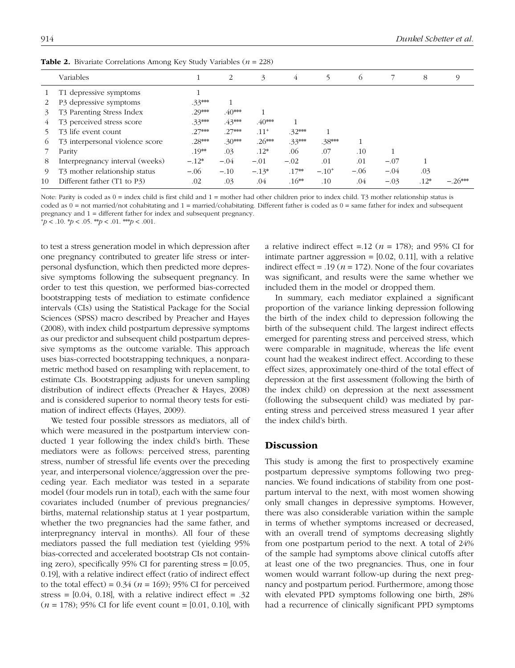|         | Variables                                 |          | 2        | 3         | 4        | 5        | 6      |        | 8      | 9         |  |  |
|---------|-------------------------------------------|----------|----------|-----------|----------|----------|--------|--------|--------|-----------|--|--|
|         | T1 depressive symptoms                    |          |          |           |          |          |        |        |        |           |  |  |
|         | P3 depressive symptoms                    | $.33***$ |          |           |          |          |        |        |        |           |  |  |
| 3       | T <sub>3</sub> Parenting Stress Index     | $.29***$ | $.40***$ |           |          |          |        |        |        |           |  |  |
|         | T3 perceived stress score                 | $.33***$ | $.43***$ | $.40***$  |          |          |        |        |        |           |  |  |
|         | T <sub>3</sub> life event count           | $.27***$ | $.27***$ | $.11^{+}$ | $.32***$ |          |        |        |        |           |  |  |
| $\circ$ | T3 interpersonal violence score           | $.28***$ | $.30***$ | $.26***$  | $.33***$ | $.38***$ |        |        |        |           |  |  |
|         | Parity                                    | $.19**$  | .03      | $.12*$    | .06      | .07      | .10    |        |        |           |  |  |
| 8       | Interpregnancy interval (weeks)           | $-.12*$  | $-.04$   | $-.01$    | $-.02$   | .01      | .01    | $-.07$ |        |           |  |  |
| 9       | T <sub>3</sub> mother relationship status | $-.06$   | $-.10$   | $-.13*$   | $.17**$  | $-.10+$  | $-.06$ | $-.04$ | .03    |           |  |  |
| 10      | Different father (T1 to P3)               | .02      | .03      | .04       | $.16**$  | .10      | .04    | $-.03$ | $.12*$ | $-.26***$ |  |  |

Table 2. Bivariate Correlations Among Key Study Variables (*n* = 228)

Note: Parity is coded as  $0 =$  index child is first child and  $1 =$  mother had other children prior to index child. T3 mother relationship status is coded as 0 = not married/not cohabitating and 1 = married/cohabitating. Different father is coded as 0 = same father for index and subsequent pregnancy and 1 = different father for index and subsequent pregnancy.

 $^{+}p$  < .10.  $^{*}p$  < .05.  $^{*}p$  < .01.  $^{***}p$  < .001.

to test a stress generation model in which depression after one pregnancy contributed to greater life stress or interpersonal dysfunction, which then predicted more depressive symptoms following the subsequent pregnancy. In order to test this question, we performed bias-corrected bootstrapping tests of mediation to estimate confidence intervals (CIs) using the Statistical Package for the Social Sciences (SPSS) macro described by Preacher and Hayes (2008), with index child postpartum depressive symptoms as our predictor and subsequent child postpartum depressive symptoms as the outcome variable. This approach uses bias-corrected bootstrapping techniques, a nonparametric method based on resampling with replacement, to estimate CIs. Bootstrapping adjusts for uneven sampling distribution of indirect effects (Preacher & Hayes, 2008) and is considered superior to normal theory tests for estimation of indirect effects (Hayes, 2009).

We tested four possible stressors as mediators, all of which were measured in the postpartum interview conducted 1 year following the index child's birth. These mediators were as follows: perceived stress, parenting stress, number of stressful life events over the preceding year, and interpersonal violence/aggression over the preceding year. Each mediator was tested in a separate model (four models run in total), each with the same four covariates included (number of previous pregnancies/ births, maternal relationship status at 1 year postpartum, whether the two pregnancies had the same father, and interpregnancy interval in months). All four of these mediators passed the full mediation test (yielding 95% bias-corrected and accelerated bootstrap CIs not containing zero), specifically 95% CI for parenting stress = [0.05, 0.19], with a relative indirect effect (ratio of indirect effect to the total effect) =  $0.34$  ( $n = 169$ ); 95% CI for perceived stress =  $[0.04, 0.18]$ , with a relative indirect effect = .32 (*n* = 178); 95% CI for life event count = [0.01, 0.10], with a relative indirect effect =.12 ( $n = 178$ ); and 95% CI for intimate partner aggression  $=[0.02, 0.11]$ , with a relative indirect effect = .19 ( $n = 172$ ). None of the four covariates was significant, and results were the same whether we included them in the model or dropped them.

In summary, each mediator explained a significant proportion of the variance linking depression following the birth of the index child to depression following the birth of the subsequent child. The largest indirect effects emerged for parenting stress and perceived stress, which were comparable in magnitude, whereas the life event count had the weakest indirect effect. According to these effect sizes, approximately one-third of the total effect of depression at the first assessment (following the birth of the index child) on depression at the next assessment (following the subsequent child) was mediated by parenting stress and perceived stress measured 1 year after the index child's birth.

## Discussion

This study is among the first to prospectively examine postpartum depressive symptoms following two pregnancies. We found indications of stability from one postpartum interval to the next, with most women showing only small changes in depressive symptoms. However, there was also considerable variation within the sample in terms of whether symptoms increased or decreased, with an overall trend of symptoms decreasing slightly from one postpartum period to the next. A total of 24% of the sample had symptoms above clinical cutoffs after at least one of the two pregnancies. Thus, one in four women would warrant follow-up during the next pregnancy and postpartum period. Furthermore, among those with elevated PPD symptoms following one birth, 28% had a recurrence of clinically significant PPD symptoms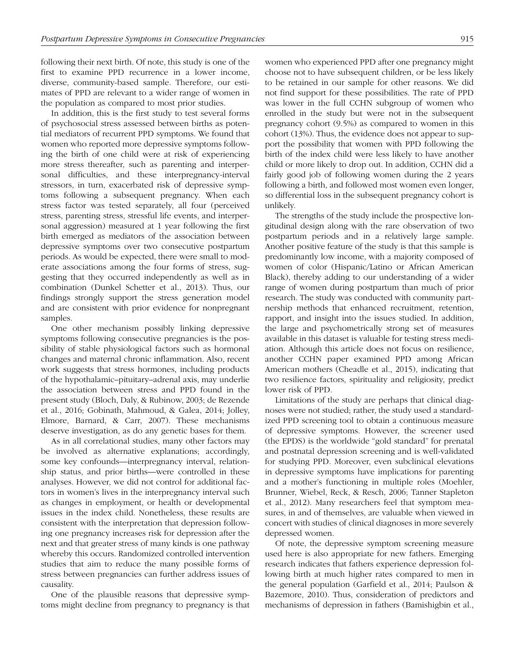following their next birth. Of note, this study is one of the first to examine PPD recurrence in a lower income, diverse, community-based sample. Therefore, our estimates of PPD are relevant to a wider range of women in the population as compared to most prior studies.

In addition, this is the first study to test several forms of psychosocial stress assessed between births as potential mediators of recurrent PPD symptoms. We found that women who reported more depressive symptoms following the birth of one child were at risk of experiencing more stress thereafter, such as parenting and interpersonal difficulties, and these interpregnancy-interval stressors, in turn, exacerbated risk of depressive symptoms following a subsequent pregnancy. When each stress factor was tested separately, all four (perceived stress, parenting stress, stressful life events, and interpersonal aggression) measured at 1 year following the first birth emerged as mediators of the association between depressive symptoms over two consecutive postpartum periods. As would be expected, there were small to moderate associations among the four forms of stress, suggesting that they occurred independently as well as in combination (Dunkel Schetter et al., 2013). Thus, our findings strongly support the stress generation model and are consistent with prior evidence for nonpregnant samples.

One other mechanism possibly linking depressive symptoms following consecutive pregnancies is the possibility of stable physiological factors such as hormonal changes and maternal chronic inflammation. Also, recent work suggests that stress hormones, including products of the hypothalamic–pituitary–adrenal axis, may underlie the association between stress and PPD found in the present study (Bloch, Daly, & Rubinow, 2003; de Rezende et al., 2016; Gobinath, Mahmoud, & Galea, 2014; Jolley, Elmore, Barnard, & Carr, 2007). These mechanisms deserve investigation, as do any genetic bases for them.

As in all correlational studies, many other factors may be involved as alternative explanations; accordingly, some key confounds—interpregnancy interval, relationship status, and prior births—were controlled in these analyses. However, we did not control for additional factors in women's lives in the interpregnancy interval such as changes in employment, or health or developmental issues in the index child. Nonetheless, these results are consistent with the interpretation that depression following one pregnancy increases risk for depression after the next and that greater stress of many kinds is one pathway whereby this occurs. Randomized controlled intervention studies that aim to reduce the many possible forms of stress between pregnancies can further address issues of causality.

One of the plausible reasons that depressive symptoms might decline from pregnancy to pregnancy is that women who experienced PPD after one pregnancy might choose not to have subsequent children, or be less likely to be retained in our sample for other reasons. We did not find support for these possibilities. The rate of PPD was lower in the full CCHN subgroup of women who enrolled in the study but were not in the subsequent pregnancy cohort (9.5%) as compared to women in this cohort (13%). Thus, the evidence does not appear to support the possibility that women with PPD following the birth of the index child were less likely to have another child or more likely to drop out. In addition, CCHN did a fairly good job of following women during the 2 years following a birth, and followed most women even longer, so differential loss in the subsequent pregnancy cohort is unlikely.

The strengths of the study include the prospective longitudinal design along with the rare observation of two postpartum periods and in a relatively large sample. Another positive feature of the study is that this sample is predominantly low income, with a majority composed of women of color (Hispanic/Latino or African American Black), thereby adding to our understanding of a wider range of women during postpartum than much of prior research. The study was conducted with community partnership methods that enhanced recruitment, retention, rapport, and insight into the issues studied. In addition, the large and psychometrically strong set of measures available in this dataset is valuable for testing stress mediation. Although this article does not focus on resilience, another CCHN paper examined PPD among African American mothers (Cheadle et al., 2015), indicating that two resilience factors, spirituality and religiosity, predict lower risk of PPD.

Limitations of the study are perhaps that clinical diagnoses were not studied; rather, the study used a standardized PPD screening tool to obtain a continuous measure of depressive symptoms. However, the screener used (the EPDS) is the worldwide "gold standard" for prenatal and postnatal depression screening and is well-validated for studying PPD. Moreover, even subclinical elevations in depressive symptoms have implications for parenting and a mother's functioning in multiple roles (Moehler, Brunner, Wiebel, Reck, & Resch, 2006; Tanner Stapleton et al., 2012). Many researchers feel that symptom measures, in and of themselves, are valuable when viewed in concert with studies of clinical diagnoses in more severely depressed women.

Of note, the depressive symptom screening measure used here is also appropriate for new fathers. Emerging research indicates that fathers experience depression following birth at much higher rates compared to men in the general population (Garfield et al., 2014; Paulson & Bazemore, 2010). Thus, consideration of predictors and mechanisms of depression in fathers (Bamishigbin et al.,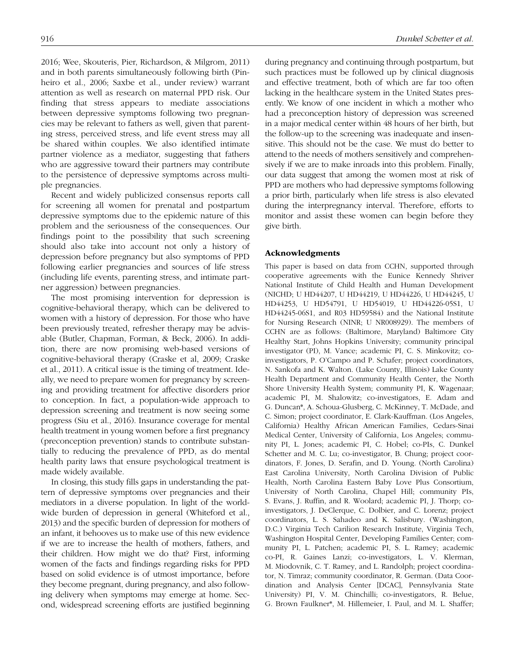2016; Wee, Skouteris, Pier, Richardson, & Milgrom, 2011) and in both parents simultaneously following birth (Pinheiro et al., 2006; Saxbe et al., under review) warrant attention as well as research on maternal PPD risk. Our finding that stress appears to mediate associations between depressive symptoms following two pregnancies may be relevant to fathers as well, given that parenting stress, perceived stress, and life event stress may all be shared within couples. We also identified intimate partner violence as a mediator, suggesting that fathers who are aggressive toward their partners may contribute to the persistence of depressive symptoms across multiple pregnancies.

Recent and widely publicized consensus reports call for screening all women for prenatal and postpartum depressive symptoms due to the epidemic nature of this problem and the seriousness of the consequences. Our findings point to the possibility that such screening should also take into account not only a history of depression before pregnancy but also symptoms of PPD following earlier pregnancies and sources of life stress (including life events, parenting stress, and intimate partner aggression) between pregnancies.

The most promising intervention for depression is cognitive-behavioral therapy, which can be delivered to women with a history of depression. For those who have been previously treated, refresher therapy may be advisable (Butler, Chapman, Forman, & Beck, 2006). In addition, there are now promising web-based versions of cognitive-behavioral therapy (Craske et al, 2009; Craske et al., 2011). A critical issue is the timing of treatment. Ideally, we need to prepare women for pregnancy by screening and providing treatment for affective disorders prior to conception. In fact, a population-wide approach to depression screening and treatment is now seeing some progress (Siu et al., 2016). Insurance coverage for mental health treatment in young women before a first pregnancy (preconception prevention) stands to contribute substantially to reducing the prevalence of PPD, as do mental health parity laws that ensure psychological treatment is made widely available.

In closing, this study fills gaps in understanding the pattern of depressive symptoms over pregnancies and their mediators in a diverse population. In light of the worldwide burden of depression in general (Whiteford et al., 2013) and the specific burden of depression for mothers of an infant, it behooves us to make use of this new evidence if we are to increase the health of mothers, fathers, and their children. How might we do that? First, informing women of the facts and findings regarding risks for PPD based on solid evidence is of utmost importance, before they become pregnant, during pregnancy, and also following delivery when symptoms may emerge at home. Second, widespread screening efforts are justified beginning during pregnancy and continuing through postpartum, but such practices must be followed up by clinical diagnosis and effective treatment, both of which are far too often lacking in the healthcare system in the United States presently. We know of one incident in which a mother who had a preconception history of depression was screened in a major medical center within 48 hours of her birth, but the follow-up to the screening was inadequate and insensitive. This should not be the case. We must do better to attend to the needs of mothers sensitively and comprehensively if we are to make inroads into this problem. Finally, our data suggest that among the women most at risk of PPD are mothers who had depressive symptoms following a prior birth, particularly when life stress is also elevated during the interpregnancy interval. Therefore, efforts to monitor and assist these women can begin before they give birth.

#### Acknowledgments

This paper is based on data from CCHN, supported through cooperative agreements with the Eunice Kennedy Shriver National Institute of Child Health and Human Development (NICHD; U HD44207, U HD44219, U HD44226, U HD44245, U HD44253, U HD54791, U HD54019, U HD44226-05S1, U HD44245-06S1, and R03 HD59584) and the National Institute for Nursing Research (NINR; U NR008929). The members of CCHN are as follows: (Baltimore, Maryland) Baltimore City Healthy Start, Johns Hopkins University; community principal investigator (PI), M. Vance; academic PI, C. S. Minkovitz; coinvestigators, P. O'Campo and P. Schafer; project coordinators, N. Sankofa and K. Walton. (Lake County, Illinois) Lake County Health Department and Community Health Center, the North Shore University Health System; community PI, K. Wagenaar; academic PI, M. Shalowitz; co-investigators, E. Adam and G. Duncan\*, A. Schoua-Glusberg, C. McKinney, T. McDade, and C. Simon; project coordinator, E. Clark-Kauffman. (Los Angeles, California) Healthy African American Families, Cedars-Sinai Medical Center, University of California, Los Angeles; community PI, L. Jones; academic PI, C. Hobel; co-PIs, C. Dunkel Schetter and M. C. Lu; co-investigator, B. Chung; project coordinators, F. Jones, D. Serafin, and D. Young. (North Carolina) East Carolina University, North Carolina Division of Public Health, North Carolina Eastern Baby Love Plus Consortium, University of North Carolina, Chapel Hill; community PIs, S. Evans, J. Ruffin, and R. Woolard; academic PI, J. Thorp; coinvestigators, J. DeClerque, C. Dolbier, and C. Lorenz; project coordinators, L. S. Sahadeo and K. Salisbury. (Washington, D.C.) Virginia Tech Carilion Research Institute, Virginia Tech, Washington Hospital Center, Developing Families Center; community PI, L. Patchen; academic PI, S. L. Ramey; academic co-PI, R. Gaines Lanzi; co-investigators, L. V. Klerman, M. Miodovnik, C. T. Ramey, and L. Randolph; project coordinator, N. Timraz; community coordinator, R. German. (Data Coordination and Analysis Center [DCAC], Pennsylvania State University) PI, V. M. Chinchilli; co-investigators, R. Belue, G. Brown Faulkner\*, M. Hillemeier, I. Paul, and M. L. Shaffer;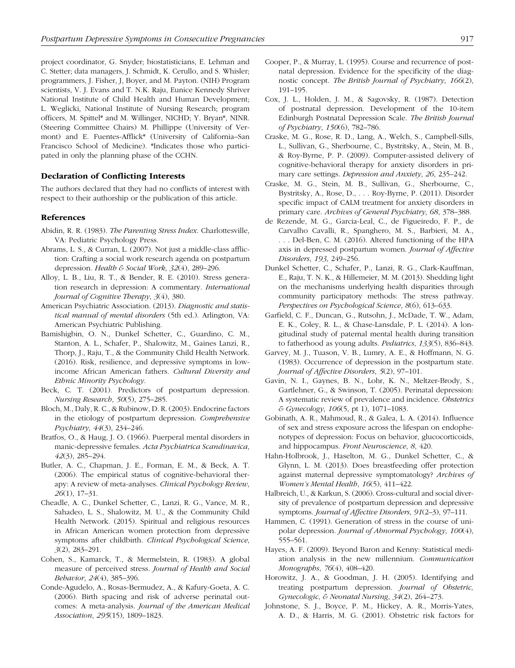project coordinator, G. Snyder; biostatisticians, E. Lehman and C. Stetter; data managers, J. Schmidt, K. Cerullo, and S. Whisler; programmers, J. Fisher, J, Boyer, and M. Payton. (NIH) Program scientists, V. J. Evans and T. N.K. Raju, Eunice Kennedy Shriver National Institute of Child Health and Human Development; L. Weglicki, National Institute of Nursing Research; program officers, M. Spittel\* and M. Willinger, NICHD; Y. Bryan\*, NINR. (Steering Committee Chairs) M. Phillippe (University of Vermont) and E. Fuentes-Afflick\* (University of California–San Francisco School of Medicine). \*Indicates those who participated in only the planning phase of the CCHN.

## Declaration of Conflicting Interests

The authors declared that they had no conflicts of interest with respect to their authorship or the publication of this article.

#### References

- Abidin, R. R. (1983). *The Parenting Stress Index*. Charlottesville, VA: Pediatric Psychology Press.
- Abrams, L. S., & Curran, L. (2007). Not just a middle-class affliction: Crafting a social work research agenda on postpartum depression. *Health & Social Work*, *32*(4), 289–296.
- Alloy, L. B., Liu, R. T., & Bender, R. E. (2010). Stress generation research in depression: A commentary. *International Journal of Cognitive Therapy*, *3*(4), 380.
- American Psychiatric Association. (2013). *Diagnostic and statistical manual of mental disorders* (5th ed.). Arlington, VA: American Psychiatric Publishing.
- Bamishigbin, O. N., Dunkel Schetter, C., Guardino, C. M., Stanton, A. L., Schafer, P., Shalowitz, M., Gaines Lanzi, R., Thorp, J., Raju, T., & the Community Child Health Network. (2016). Risk, resilience, and depressive symptoms in lowincome African American fathers. *Cultural Diversity and Ethnic Minority Psychology*.
- Beck, C. T. (2001). Predictors of postpartum depression. *Nursing Research*, *50*(5), 275–285.
- Bloch, M., Daly, R. C., & Rubinow, D. R. (2003). Endocrine factors in the etiology of postpartum depression. *Comprehensive Psychiatry*, *44*(3), 234–246.
- Bratfos, O., & Haug, J. O. (1966). Puerperal mental disorders in manic-depressive females. *Acta Psychiatrica Scandinavica*, *42*(3), 285–294.
- Butler, A. C., Chapman, J. E., Forman, E. M., & Beck, A. T. (2006). The empirical status of cognitive-behavioral therapy: A review of meta-analyses. *Clinical Psychology Review*, *26*(1), 17–31.
- Cheadle, A. C., Dunkel Schetter, C., Lanzi, R. G., Vance, M. R., Sahadeo, L. S., Shalowitz, M. U., & the Community Child Health Network. (2015). Spiritual and religious resources in African American women protection from depressive symptoms after childbirth. *Clinical Psychological Science*, *3*(2), 283–291.
- Cohen, S., Kamarck, T., & Mermelstein, R. (1983). A global measure of perceived stress. *Journal of Health and Social Behavior*, *24*(4), 385–396.
- Conde-Agudelo, A., Rosas-Bermudez, A., & Kafury-Goeta, A. C. (2006). Birth spacing and risk of adverse perinatal outcomes: A meta-analysis. *Journal of the American Medical Association*, *295*(15), 1809–1823.
- Cooper, P., & Murray, L. (1995). Course and recurrence of postnatal depression. Evidence for the specificity of the diagnostic concept. *The British Journal of Psychiatry*, *166*(2), 191–195.
- Cox, J. L., Holden, J. M., & Sagovsky, R. (1987). Detection of postnatal depression. Development of the 10-item Edinburgh Postnatal Depression Scale. *The British Journal of Psychiatry*, *150*(6), 782–786.
- Craske, M. G., Rose, R. D., Lang, A., Welch, S., Campbell-Sills, L., Sullivan, G., Sherbourne, C., Bystritsky, A., Stein, M. B., & Roy-Byrne, P. P. (2009). Computer-assisted delivery of cognitive-behavioral therapy for anxiety disorders in primary care settings. *Depression and Anxiety*, *26*, 235–242.
- Craske, M. G., Stein, M. B., Sullivan, G., Sherbourne, C., Bystritsky, A., Rose, D., . . . Roy-Byrne, P. (2011). Disorder specific impact of CALM treatment for anxiety disorders in primary care. *Archives of General Psychiatry*, *68*, 378–388.
- de Rezende, M. G., Garcia-Leal, C., de Figueiredo, F. P., de Carvalho Cavalli, R., Spanghero, M. S., Barbieri, M. A., . . . Del-Ben, C. M. (2016). Altered functioning of the HPA axis in depressed postpartum women. *Journal of Affective Disorders*, *193*, 249–256.
- Dunkel Schetter, C., Schafer, P., Lanzi, R. G., Clark-Kauffman, E., Raju, T. N. K., & Hillemeier, M. M. (2013). Shedding light on the mechanisms underlying health disparities through community participatory methods: The stress pathway. *Perspectives on Psychological Science*, *8*(6), 613–633.
- Garfield, C. F., Duncan, G., Rutsohn, J., McDade, T. W., Adam, E. K., Coley, R. L., & Chase-Lansdale, P. L. (2014). A longitudinal study of paternal mental health during transition to fatherhood as young adults. *Pediatrics*, *133*(5), 836–843.
- Garvey, M. J., Tuason, V. B., Lumry, A. E., & Hoffmann, N. G. (1983). Occurrence of depression in the postpartum state. *Journal of Affective Disorders*, *5*(2), 97–101.
- Gavin, N. I., Gaynes, B. N., Lohr, K. N., Meltzer-Brody, S., Gartlehner, G., & Swinson, T. (2005). Perinatal depression: A systematic review of prevalence and incidence. *Obstetrics & Gynecology*, *106*(5, pt 1), 1071–1083.
- Gobinath, A. R., Mahmoud, R., & Galea, L. A. (2014). Influence of sex and stress exposure across the lifespan on endophenotypes of depression: Focus on behavior, glucocorticoids, and hippocampus. *Front Neuroscience*, *8*, 420.
- Hahn-Holbrook, J., Haselton, M. G., Dunkel Schetter, C., & Glynn, L. M. (2013). Does breastfeeding offer protection against maternal depressive symptomatology? *Archives of Women's Mental Health*, *16*(5), 411–422.
- Halbreich, U., & Karkun, S. (2006). Cross-cultural and social diversity of prevalence of postpartum depression and depressive symptoms. *Journal of Affective Disorders*, *91*(2–3), 97–111.
- Hammen, C. (1991). Generation of stress in the course of unipolar depression. *Journal of Abnormal Psychology*, *100*(4), 555–561.
- Hayes, A. F. (2009). Beyond Baron and Kenny: Statistical mediation analysis in the new millennium. *Communication Monographs*, *76*(4), 408–420.
- Horowitz, J. A., & Goodman, J. H. (2005). Identifying and treating postpartum depression. *Journal of Obstetric, Gynecologic, & Neonatal Nursing*, *34*(2), 264–273.
- Johnstone, S. J., Boyce, P. M., Hickey, A. R., Morris-Yates, A. D., & Harris, M. G. (2001). Obstetric risk factors for